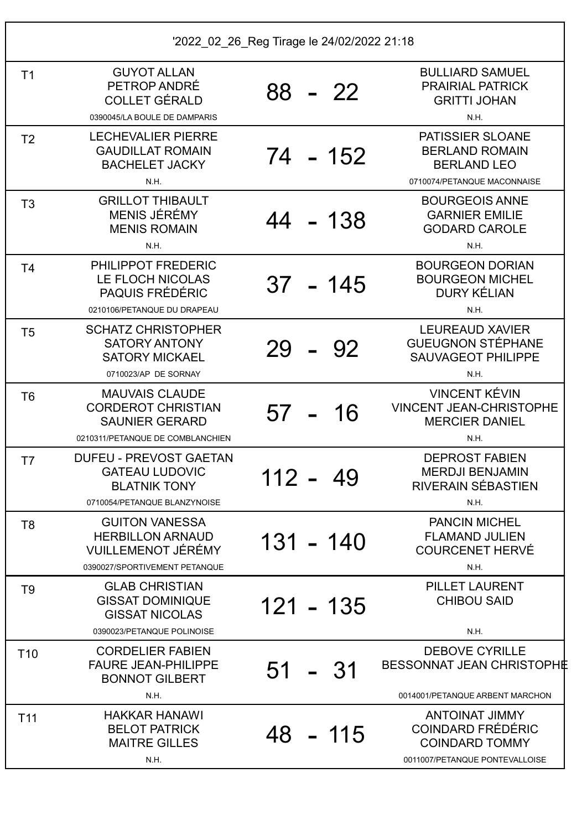| T <sub>1</sub>  | <b>GUYOT ALLAN</b><br>PETROP ANDRÉ<br><b>COLLET GÉRALD</b><br>0390045/LA BOULE DE DAMPARIS                                                        | 88 - 22      | <b>BULLIARD SAMUEL</b><br><b>PRAIRIAL PATRICK</b><br><b>GRITTI JOHAN</b><br>N.H.                             |
|-----------------|---------------------------------------------------------------------------------------------------------------------------------------------------|--------------|--------------------------------------------------------------------------------------------------------------|
| T <sub>2</sub>  | <b>LECHEVALIER PIERRE</b><br><b>GAUDILLAT ROMAIN</b><br><b>BACHELET JACKY</b><br>N.H.                                                             | 74 - 152     | PATISSIER SLOANE<br><b>BERLAND ROMAIN</b><br><b>BERLAND LEO</b><br>0710074/PETANQUE MACONNAISE               |
| T <sub>3</sub>  | <b>GRILLOT THIBAULT</b><br><b>MENIS JÉRÉMY</b><br><b>MENIS ROMAIN</b><br>N.H.                                                                     | 44<br>$-138$ | <b>BOURGEOIS ANNE</b><br><b>GARNIER EMILIE</b><br><b>GODARD CAROLE</b><br>N.H.                               |
| T <sub>4</sub>  | PHILIPPOT FREDERIC<br>LE FLOCH NICOLAS<br><b>PAQUIS FRÉDÉRIC</b><br>0210106/PETANQUE DU DRAPEAU                                                   | $37 - 145$   | <b>BOURGEON DORIAN</b><br><b>BOURGEON MICHEL</b><br><b>DURY KÉLIAN</b><br>N.H.                               |
| T <sub>5</sub>  | <b>SCHATZ CHRISTOPHER</b><br><b>SATORY ANTONY</b><br><b>SATORY MICKAEL</b><br>0710023/AP DE SORNAY                                                | 29<br>92     | <b>LEUREAUD XAVIER</b><br><b>GUEUGNON STÉPHANE</b><br><b>SAUVAGEOT PHILIPPE</b><br>N.H.                      |
| T <sub>6</sub>  | <b>MAUVAIS CLAUDE</b><br><b>CORDEROT CHRISTIAN</b><br><b>SAUNIER GERARD</b>                                                                       | 16<br>57     | <b>VINCENT KÉVIN</b><br><b>VINCENT JEAN-CHRISTOPHE</b><br><b>MERCIER DANIEL</b>                              |
| T7              | 0210311/PETANQUE DE COMBLANCHIEN<br><b>DUFEU - PREVOST GAETAN</b><br><b>GATEAU LUDOVIC</b><br><b>BLATNIK TONY</b><br>0710054/PETANQUE BLANZYNOISE | 112 -<br>49  | N.H.<br><b>DEPROST FABIEN</b><br><b>MERDJI BENJAMIN</b><br>RIVERAIN SÉBASTIEN<br>N.H.                        |
| T <sub>8</sub>  | <b>GUITON VANESSA</b><br><b>HERBILLON ARNAUD</b><br><b>VUILLEMENOT JÉRÉMY</b><br>0390027/SPORTIVEMENT PETANQUE                                    | $131 - 140$  | <b>PANCIN MICHEL</b><br><b>FLAMAND JULIEN</b><br><b>COURCENET HERVÉ</b><br>N.H.                              |
| T <sub>9</sub>  | <b>GLAB CHRISTIAN</b><br><b>GISSAT DOMINIQUE</b><br><b>GISSAT NICOLAS</b><br>0390023/PETANQUE POLINOISE                                           | 121 - 135    | <b>PILLET LAURENT</b><br><b>CHIBOU SAID</b><br>N.H.                                                          |
| T <sub>10</sub> | <b>CORDELIER FABIEN</b><br><b>FAURE JEAN-PHILIPPE</b><br><b>BONNOT GILBERT</b><br>N.H.                                                            | 51 - 31      | <b>DEBOVE CYRILLE</b><br>BESSONNAT JEAN CHRISTOPHE<br>0014001/PETANQUE ARBENT MARCHON                        |
| T <sub>11</sub> | <b>HAKKAR HANAWI</b><br><b>BELOT PATRICK</b><br><b>MAITRE GILLES</b><br>N.H.                                                                      | 48 - 115     | <b>ANTOINAT JIMMY</b><br><b>COINDARD FRÉDÉRIC</b><br><b>COINDARD TOMMY</b><br>0011007/PETANQUE PONTEVALLOISE |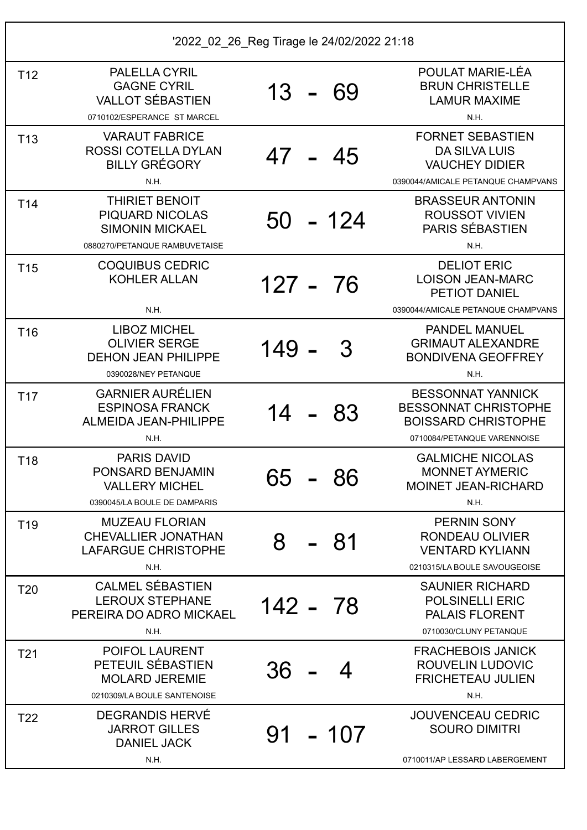| T <sub>12</sub> | PALELLA CYRIL<br><b>GAGNE CYRIL</b><br><b>VALLOT SÉBASTIEN</b><br>0710102/ESPERANCE ST MARCEL              | $13 -$   | -69      | POULAT MARIE-LÉA<br><b>BRUN CHRISTELLE</b><br><b>LAMUR MAXIME</b><br>N.H.                                            |
|-----------------|------------------------------------------------------------------------------------------------------------|----------|----------|----------------------------------------------------------------------------------------------------------------------|
| T <sub>13</sub> | <b>VARAUT FABRICE</b><br><b>ROSSI COTELLA DYLAN</b><br><b>BILLY GRÉGORY</b><br>N.H.                        | 47 - 45  |          | <b>FORNET SEBASTIEN</b><br><b>DA SILVA LUIS</b><br><b>VAUCHEY DIDIER</b><br>0390044/AMICALE PETANQUE CHAMPVANS       |
| T <sub>14</sub> | <b>THIRIET BENOIT</b><br><b>PIQUARD NICOLAS</b><br><b>SIMONIN MICKAEL</b><br>0880270/PETANQUE RAMBUVETAISE |          | 50 - 124 | <b>BRASSEUR ANTONIN</b><br><b>ROUSSOT VIVIEN</b><br>PARIS SÉBASTIEN<br>N.H.                                          |
| T <sub>15</sub> | <b>COQUIBUS CEDRIC</b><br><b>KOHLER ALLAN</b><br>N.H.                                                      | 127 - 76 |          | <b>DELIOT ERIC</b><br><b>LOISON JEAN-MARC</b><br><b>PETIOT DANIEL</b><br>0390044/AMICALE PETANQUE CHAMPVANS          |
| T <sub>16</sub> | <b>LIBOZ MICHEL</b><br><b>OLIVIER SERGE</b><br><b>DEHON JEAN PHILIPPE</b><br>0390028/NEY PETANQUE          | 149      | 3        | <b>PANDEL MANUEL</b><br><b>GRIMAUT ALEXANDRE</b><br><b>BONDIVENA GEOFFREY</b><br>N.H.                                |
| T <sub>17</sub> | <b>GARNIER AURÉLIEN</b><br><b>ESPINOSA FRANCK</b><br>ALMEIDA JEAN-PHILIPPE<br>N.H.                         | 14       | 83       | <b>BESSONNAT YANNICK</b><br><b>BESSONNAT CHRISTOPHE</b><br><b>BOISSARD CHRISTOPHE</b><br>0710084/PETANQUE VARENNOISE |
| T <sub>18</sub> | <b>PARIS DAVID</b><br>PONSARD BENJAMIN<br><b>VALLERY MICHEL</b><br>0390045/LA BOULE DE DAMPARIS            | 65       | 86       | <b>GALMICHE NICOLAS</b><br><b>MONNET AYMERIC</b><br><b>MOINET JEAN-RICHARD</b><br>N.H.                               |
| T <sub>19</sub> | <b>MUZEAU FLORIAN</b><br><b>CHEVALLIER JONATHAN</b><br><b>LAFARGUE CHRISTOPHE</b><br>N.H.                  | 8        | -81      | <b>PERNIN SONY</b><br><b>RONDEAU OLIVIER</b><br><b>VENTARD KYLIANN</b><br>0210315/LA BOULE SAVOUGEOISE               |
| T <sub>20</sub> | <b>CALMEL SÉBASTIEN</b><br><b>LEROUX STEPHANE</b><br>PEREIRA DO ADRO MICKAEL<br>N.H.                       | 142 - 78 |          | <b>SAUNIER RICHARD</b><br><b>POLSINELLI ERIC</b><br><b>PALAIS FLORENT</b><br>0710030/CLUNY PETANQUE                  |
| T <sub>21</sub> | <b>POIFOL LAURENT</b><br>PETEUIL SÉBASTIEN<br><b>MOLARD JEREMIE</b><br>0210309/LA BOULE SANTENOISE         | 36       |          | <b>FRACHEBOIS JANICK</b><br>ROUVELIN LUDOVIC<br><b>FRICHETEAU JULIEN</b><br>N.H.                                     |
| T <sub>22</sub> | <b>DEGRANDIS HERVÉ</b><br><b>JARROT GILLES</b><br><b>DANIEL JACK</b><br>N.H.                               | 91       | $-107$   | <b>JOUVENCEAU CEDRIC</b><br><b>SOURO DIMITRI</b><br>0710011/AP LESSARD LABERGEMENT                                   |
|                 |                                                                                                            |          |          |                                                                                                                      |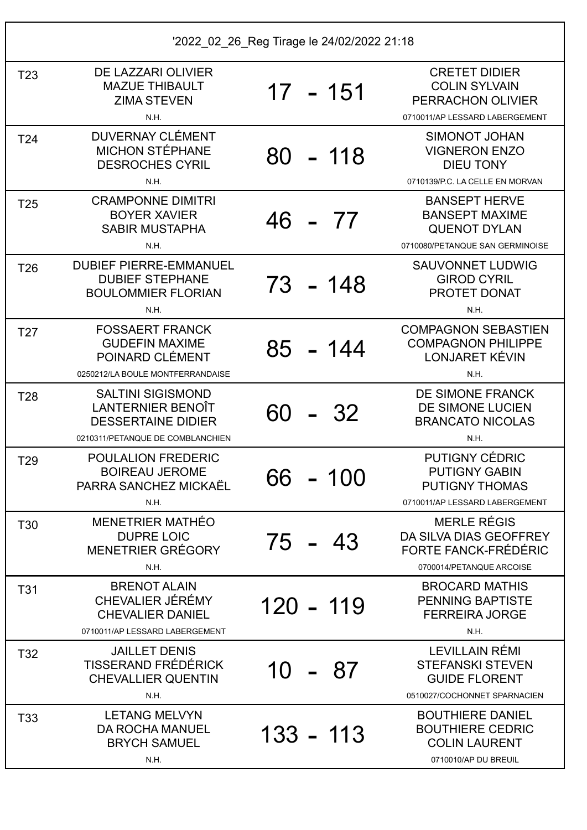| '2022_02_26_Reg Tirage le 24/02/2022 21:18 |                                                                                                                |                |                                                                                                          |  |
|--------------------------------------------|----------------------------------------------------------------------------------------------------------------|----------------|----------------------------------------------------------------------------------------------------------|--|
| T <sub>23</sub>                            | DE LAZZARI OLIVIER<br><b>MAZUE THIBAULT</b><br><b>ZIMA STEVEN</b><br>N.H.                                      | 17 - 151       | <b>CRETET DIDIER</b><br><b>COLIN SYLVAIN</b><br>PERRACHON OLIVIER<br>0710011/AP LESSARD LABERGEMENT      |  |
| T <sub>24</sub>                            | <b>DUVERNAY CLÉMENT</b><br><b>MICHON STÉPHANE</b><br><b>DESROCHES CYRIL</b><br>N.H.                            | $-118$<br>80 - | <b>SIMONOT JOHAN</b><br><b>VIGNERON ENZO</b><br><b>DIEU TONY</b><br>0710139/P.C. LA CELLE EN MORVAN      |  |
| T <sub>25</sub>                            | <b>CRAMPONNE DIMITRI</b><br><b>BOYER XAVIER</b><br><b>SABIR MUSTAPHA</b><br>N.H.                               | 46<br>- 77     | <b>BANSEPT HERVE</b><br><b>BANSEPT MAXIME</b><br><b>QUENOT DYLAN</b><br>0710080/PETANQUE SAN GERMINOISE  |  |
| T <sub>26</sub>                            | <b>DUBIEF PIERRE-EMMANUEL</b><br><b>DUBIEF STEPHANE</b><br><b>BOULOMMIER FLORIAN</b><br>N.H.                   | 73 - 148       | <b>SAUVONNET LUDWIG</b><br><b>GIROD CYRIL</b><br><b>PROTET DONAT</b><br>N.H.                             |  |
| T <sub>27</sub>                            | <b>FOSSAERT FRANCK</b><br><b>GUDEFIN MAXIME</b><br>POINARD CLÉMENT<br>0250212/LA BOULE MONTFERRANDAISE         | $85 - 144$     | <b>COMPAGNON SEBASTIEN</b><br><b>COMPAGNON PHILIPPE</b><br>LONJARET KÉVIN<br>N.H.                        |  |
| T <sub>28</sub>                            | <b>SALTINI SIGISMOND</b><br>LANTERNIER BENOÎT<br><b>DESSERTAINE DIDIER</b><br>0210311/PETANQUE DE COMBLANCHIEN | -32<br>60      | DE SIMONE FRANCK<br>DE SIMONE LUCIEN<br><b>BRANCATO NICOLAS</b><br>N.H.                                  |  |
| T <sub>29</sub>                            | <b>POULALION FREDERIC</b><br><b>BOIREAU JEROME</b><br>PARRA SANCHEZ MICKAËL<br>N.H.                            | 66<br>100      | <b>PUTIGNY CÉDRIC</b><br><b>PUTIGNY GABIN</b><br><b>PUTIGNY THOMAS</b><br>0710011/AP LESSARD LABERGEMENT |  |
| T30                                        | MENETRIER MATHÉO<br><b>DUPRE LOIC</b><br>MENETRIER GRÉGORY<br>N.H.                                             | 75 -<br>43     | <b>MERLE RÉGIS</b><br>DA SILVA DIAS GEOFFREY<br>FORTE FANCK-FRÉDÉRIC<br>0700014/PETANQUE ARCOISE         |  |
| T31                                        | <b>BRENOT ALAIN</b><br>CHEVALIER JÉRÉMY<br><b>CHEVALIER DANIEL</b><br>0710011/AP LESSARD LABERGEMENT           | 120 - 119      | <b>BROCARD MATHIS</b><br><b>PENNING BAPTISTE</b><br><b>FERREIRA JORGE</b><br>N.H.                        |  |
| T32                                        | <b>JAILLET DENIS</b><br>TISSERAND FRÉDÉRICK<br><b>CHEVALLIER QUENTIN</b><br>N.H.                               | 10 - 87        | LEVILLAIN RÉMI<br><b>STEFANSKI STEVEN</b><br><b>GUIDE FLORENT</b><br>0510027/COCHONNET SPARNACIEN        |  |
| T33                                        | <b>LETANG MELVYN</b><br><b>DA ROCHA MANUEL</b><br><b>BRYCH SAMUEL</b><br>N.H.                                  | 133 - 113      | <b>BOUTHIERE DANIEL</b><br><b>BOUTHIERE CEDRIC</b><br><b>COLIN LAURENT</b><br>0710010/AP DU BREUIL       |  |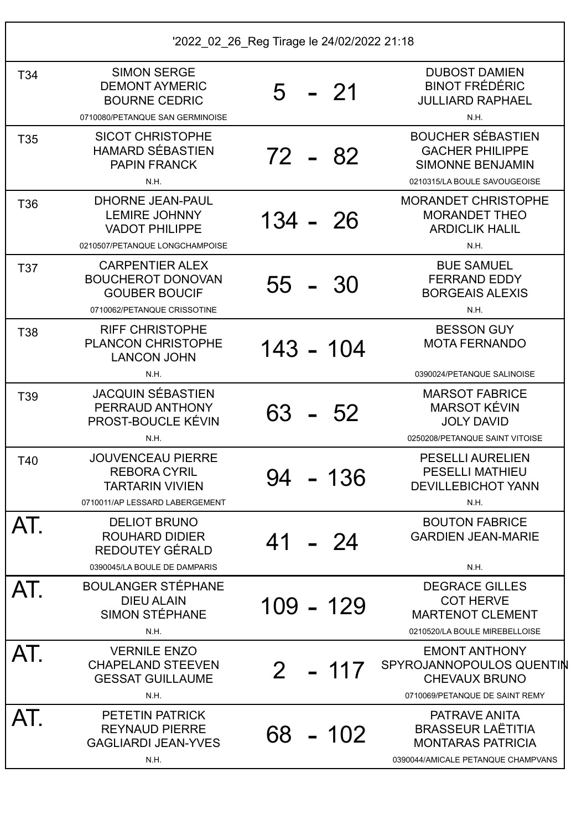| T34             | <b>SIMON SERGE</b><br><b>DEMONT AYMERIC</b><br><b>BOURNE CEDRIC</b><br>0710080/PETANQUE SAN GERMINOISE      | - 21<br>5                | <b>DUBOST DAMIEN</b><br><b>BINOT FRÉDÉRIC</b><br><b>JULLIARD RAPHAEL</b><br>N.H.                                                  |
|-----------------|-------------------------------------------------------------------------------------------------------------|--------------------------|-----------------------------------------------------------------------------------------------------------------------------------|
| T <sub>35</sub> | <b>SICOT CHRISTOPHE</b><br><b>HAMARD SÉBASTIEN</b><br><b>PAPIN FRANCK</b><br>N.H.                           | 72 - 82                  | <b>BOUCHER SÉBASTIEN</b><br><b>GACHER PHILIPPE</b><br><b>SIMONNE BENJAMIN</b><br>0210315/LA BOULE SAVOUGEOISE                     |
| T36             | <b>DHORNE JEAN-PAUL</b><br><b>LEMIRE JOHNNY</b><br><b>VADOT PHILIPPE</b><br>0210507/PETANQUE LONGCHAMPOISE  | $134 - 26$               | <b>MORANDET CHRISTOPHE</b><br><b>MORANDET THEO</b><br><b>ARDICLIK HALIL</b><br>N.H.                                               |
| T37             | <b>CARPENTIER ALEX</b><br><b>BOUCHEROT DONOVAN</b><br><b>GOUBER BOUCIF</b><br>0710062/PETANQUE CRISSOTINE   | 55 -<br>-30              | <b>BUE SAMUEL</b><br><b>FERRAND EDDY</b><br><b>BORGEAIS ALEXIS</b><br>N.H.                                                        |
| T38             | <b>RIFF CHRISTOPHE</b><br><b>PLANCON CHRISTOPHE</b><br><b>LANCON JOHN</b>                                   | 143 - 104                | <b>BESSON GUY</b><br><b>MOTA FERNANDO</b>                                                                                         |
| T39             | N.H.<br><b>JACQUIN SÉBASTIEN</b><br>PERRAUD ANTHONY<br><b>PROST-BOUCLE KÉVIN</b><br>N.H.                    | 63<br>-52                | 0390024/PETANQUE SALINOISE<br><b>MARSOT FABRICE</b><br><b>MARSOT KÉVIN</b><br><b>JOLY DAVID</b><br>0250208/PETANQUE SAINT VITOISE |
| T40             | <b>JOUVENCEAU PIERRE</b><br><b>REBORA CYRIL</b><br><b>TARTARIN VIVIEN</b><br>0710011/AP LESSARD LABERGEMENT | -136<br>94               | <b>PESELLI AURELIEN</b><br><b>PESELLI MATHIEU</b><br><b>DEVILLEBICHOT YANN</b><br>N.H.                                            |
| AT.             | <b>DELIOT BRUNO</b><br><b>ROUHARD DIDIER</b><br>REDOUTEY GÉRALD<br>0390045/LA BOULE DE DAMPARIS             | 41 - 24                  | <b>BOUTON FABRICE</b><br><b>GARDIEN JEAN-MARIE</b><br>N.H.                                                                        |
| AT.             | <b>BOULANGER STÉPHANE</b><br><b>DIEU ALAIN</b><br><b>SIMON STÉPHANE</b><br>N.H.                             | 109 - 129                | <b>DEGRACE GILLES</b><br><b>COT HERVE</b><br><b>MARTENOT CLEMENT</b><br>0210520/LA BOULE MIREBELLOISE                             |
| AT.             | <b>VERNILE ENZO</b><br><b>CHAPELAND STEEVEN</b><br><b>GESSAT GUILLAUME</b><br><b>N.H.</b>                   | $-117$<br>2 <sup>1</sup> | <b>EMONT ANTHONY</b><br>SPYROJANNOPOULOS QUENTIN<br><b>CHEVAUX BRUNO</b><br>0710069/PETANQUE DE SAINT REMY                        |
| AT.             | PETETIN PATRICK<br><b>REYNAUD PIERRE</b><br><b>GAGLIARDI JEAN-YVES</b><br>N.H.                              | 68 - 102                 | PATRAVE ANITA<br><b>BRASSEUR LAËTITIA</b><br><b>MONTARAS PATRICIA</b><br>0390044/AMICALE PETANQUE CHAMPVANS                       |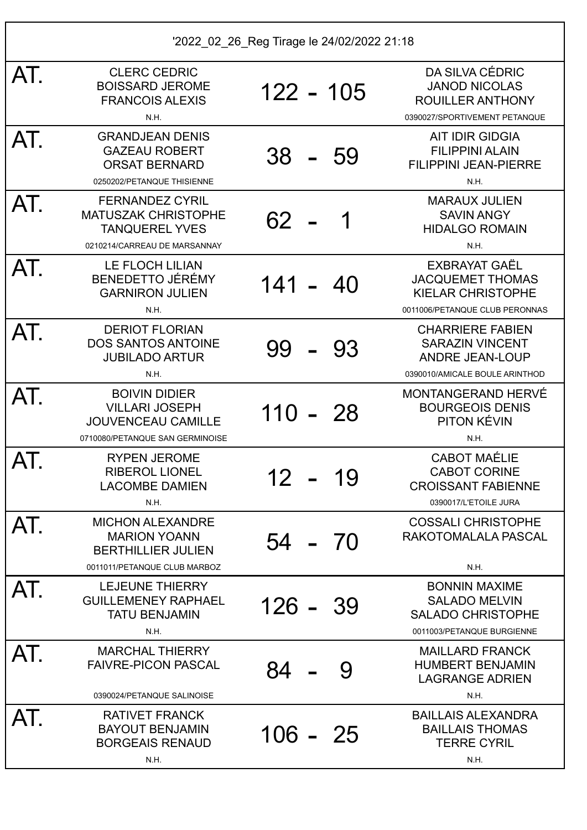| AT. | <b>CLERC CEDRIC</b><br><b>BOISSARD JEROME</b><br><b>FRANCOIS ALEXIS</b><br>N.H.                               | $122 - 105$     | DA SILVA CÉDRIC<br><b>JANOD NICOLAS</b><br><b>ROUILLER ANTHONY</b><br>0390027/SPORTIVEMENT PETANQUE           |
|-----|---------------------------------------------------------------------------------------------------------------|-----------------|---------------------------------------------------------------------------------------------------------------|
| AT. | <b>GRANDJEAN DENIS</b><br><b>GAZEAU ROBERT</b><br><b>ORSAT BERNARD</b><br>0250202/PETANQUE THISIENNE          | $38 -$<br>- 59  | <b>AIT IDIR GIDGIA</b><br><b>FILIPPINI ALAIN</b><br><b>FILIPPINI JEAN-PIERRE</b><br>N.H.                      |
| AT. | <b>FERNANDEZ CYRIL</b><br><b>MATUSZAK CHRISTOPHE</b><br><b>TANQUEREL YVES</b><br>0210214/CARREAU DE MARSANNAY | 62<br>1         | <b>MARAUX JULIEN</b><br><b>SAVIN ANGY</b><br><b>HIDALGO ROMAIN</b><br>N.H.                                    |
| AT. | <b>LE FLOCH LILIAN</b><br><b>BENEDETTO JÉRÉMY</b><br><b>GARNIRON JULIEN</b><br>N.H.                           | $141 -$<br>- 40 | EXBRAYAT GAËL<br><b>JACQUEMET THOMAS</b><br><b>KIELAR CHRISTOPHE</b><br>0011006/PETANQUE CLUB PERONNAS        |
| AT. | <b>DERIOT FLORIAN</b><br><b>DOS SANTOS ANTOINE</b><br><b>JUBILADO ARTUR</b><br>N.H.                           | 99<br>-93       | <b>CHARRIERE FABIEN</b><br><b>SARAZIN VINCENT</b><br><b>ANDRE JEAN-LOUP</b><br>0390010/AMICALE BOULE ARINTHOD |
| AT. | <b>BOIVIN DIDIER</b><br><b>VILLARI JOSEPH</b><br><b>JOUVENCEAU CAMILLE</b><br>0710080/PETANQUE SAN GERMINOISE | $110 - 28$      | <b>MONTANGERAND HERVÉ</b><br><b>BOURGEOIS DENIS</b><br>PITON KÉVIN<br>N.H.                                    |
| AT. | <b>RYPEN JEROME</b><br><b>RIBEROL LIONEL</b><br><b>LACOMBE DAMIEN</b><br>N.H.                                 | 12<br>19        | <b>CABOT MAÉLIE</b><br><b>CABOT CORINE</b><br><b>CROISSANT FABIENNE</b><br>0390017/L'ETOILE JURA              |
| AT. | <b>MICHON ALEXANDRE</b><br><b>MARION YOANN</b><br><b>BERTHILLIER JULIEN</b><br>0011011/PETANQUE CLUB MARBOZ   | 54 - 70         | <b>COSSALI CHRISTOPHE</b><br>RAKOTOMALALA PASCAL<br>N.H.                                                      |
| AT. | <b>LEJEUNE THIERRY</b><br><b>GUILLEMENEY RAPHAEL</b><br><b>TATU BENJAMIN</b><br>N.H.                          | $126 - 39$      | <b>BONNIN MAXIME</b><br><b>SALADO MELVIN</b><br><b>SALADO CHRISTOPHE</b><br>0011003/PETANQUE BURGIENNE        |
| AT. | <b>MARCHAL THIERRY</b><br><b>FAIVRE-PICON PASCAL</b><br>0390024/PETANQUE SALINOISE                            | 84<br>9         | <b>MAILLARD FRANCK</b><br><b>HUMBERT BENJAMIN</b><br><b>LAGRANGE ADRIEN</b><br>N.H.                           |
| AT. | <b>RATIVET FRANCK</b><br><b>BAYOUT BENJAMIN</b><br><b>BORGEAIS RENAUD</b><br>N.H.                             | $106 - 25$      | <b>BAILLAIS ALEXANDRA</b><br><b>BAILLAIS THOMAS</b><br><b>TERRE CYRIL</b><br>N.H.                             |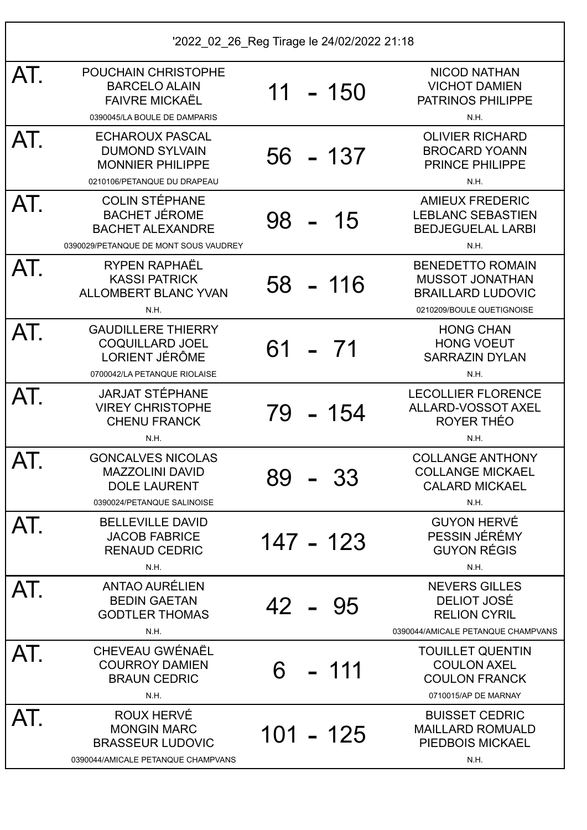| '2022 02 26 Reg Tirage le 24/02/2022 21:18 |                                                                                                                   |           |  |             |                                                                                                            |
|--------------------------------------------|-------------------------------------------------------------------------------------------------------------------|-----------|--|-------------|------------------------------------------------------------------------------------------------------------|
| AT.                                        | POUCHAIN CHRISTOPHE<br><b>BARCELO ALAIN</b><br><b>FAIVRE MICKAËL</b><br>0390045/LA BOULE DE DAMPARIS              | 11        |  | - 150       | <b>NICOD NATHAN</b><br><b>VICHOT DAMIEN</b><br><b>PATRINOS PHILIPPE</b><br>N.H.                            |
| AT.                                        | <b>ECHAROUX PASCAL</b><br><b>DUMOND SYLVAIN</b><br><b>MONNIER PHILIPPE</b><br>0210106/PETANQUE DU DRAPEAU         |           |  | 56 - 137    | <b>OLIVIER RICHARD</b><br><b>BROCARD YOANN</b><br>PRINCE PHILIPPE<br>N.H.                                  |
| AT.                                        | <b>COLIN STÉPHANE</b><br><b>BACHET JÉROME</b><br><b>BACHET ALEXANDRE</b><br>0390029/PETANQUE DE MONT SOUS VAUDREY | $98 - 15$ |  |             | <b>AMIEUX FREDERIC</b><br><b>LEBLANC SEBASTIEN</b><br><b>BEDJEGUELAL LARBI</b><br>N.H.                     |
| AT.                                        | <b>RYPEN RAPHAËL</b><br><b>KASSI PATRICK</b><br><b>ALLOMBERT BLANC YVAN</b><br>N.H.                               |           |  | $58 - 116$  | <b>BENEDETTO ROMAIN</b><br><b>MUSSOT JONATHAN</b><br><b>BRAILLARD LUDOVIC</b><br>0210209/BOULE QUETIGNOISE |
| AT.                                        | <b>GAUDILLERE THIERRY</b><br><b>COQUILLARD JOEL</b><br><b>LORIENT JÉRÔME</b><br>0700042/LA PETANQUE RIOLAISE      | $61 - 71$ |  |             | <b>HONG CHAN</b><br><b>HONG VOEUT</b><br><b>SARRAZIN DYLAN</b><br>N.H.                                     |
| AT.                                        | <b>JARJAT STÉPHANE</b><br><b>VIREY CHRISTOPHE</b><br><b>CHENU FRANCK</b><br>N.H.                                  |           |  | 79 - 154    | <b>LECOLLIER FLORENCE</b><br>ALLARD-VOSSOT AXEL<br>ROYER THÉO<br>N.H.                                      |
| AT.                                        | <b>GONCALVES NICOLAS</b><br><b>MAZZOLINI DAVID</b><br><b>DOLE LAURENT</b><br>0390024/PETANQUE SALINOISE           | 89        |  | 33          | <b>COLLANGE ANTHONY</b><br><b>COLLANGE MICKAEL</b><br><b>CALARD MICKAEL</b><br>N.H.                        |
| AT.                                        | <b>BELLEVILLE DAVID</b><br><b>JACOB FABRICE</b><br><b>RENAUD CEDRIC</b><br>N.H.                                   |           |  | 147 - 123   | <b>GUYON HERVÉ</b><br>PESSIN JÉRÉMY<br><b>GUYON RÉGIS</b><br>N.H.                                          |
| AT.                                        | <b>ANTAO AURÉLIEN</b><br><b>BEDIN GAETAN</b><br><b>GODTLER THOMAS</b><br>N.H.                                     | 42 - 95   |  |             | <b>NEVERS GILLES</b><br>DELIOT JOSÉ<br><b>RELION CYRIL</b><br>0390044/AMICALE PETANQUE CHAMPVANS           |
| AT.                                        | CHEVEAU GWÉNAËL<br><b>COURROY DAMIEN</b><br><b>BRAUN CEDRIC</b><br>N.H.                                           | 6         |  | 111         | <b>TOUILLET QUENTIN</b><br><b>COULON AXEL</b><br><b>COULON FRANCK</b><br>0710015/AP DE MARNAY              |
| AT.                                        | <b>ROUX HERVÉ</b><br><b>MONGIN MARC</b><br><b>BRASSEUR LUDOVIC</b><br>0390044/AMICALE PETANQUE CHAMPVANS          |           |  | $101 - 125$ | <b>BUISSET CEDRIC</b><br><b>MAILLARD ROMUALD</b><br>PIEDBOIS MICKAEL<br>N.H.                               |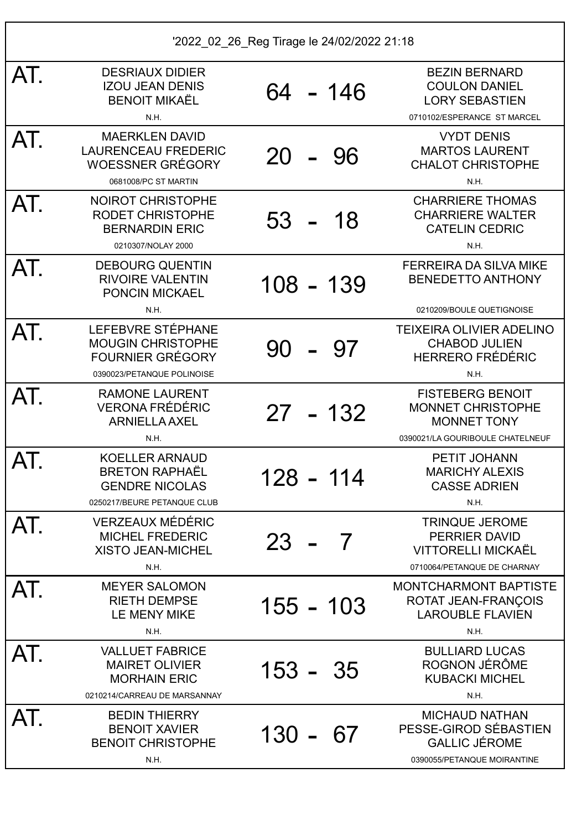| AT. | <b>DESRIAUX DIDIER</b><br><b>IZOU JEAN DENIS</b><br><b>BENOIT MIKAËL</b><br>N.H.                       | 64 - 146      | <b>BEZIN BERNARD</b><br><b>COULON DANIEL</b><br><b>LORY SEBASTIEN</b><br>0710102/ESPERANCE ST MARCEL          |
|-----|--------------------------------------------------------------------------------------------------------|---------------|---------------------------------------------------------------------------------------------------------------|
| AT. | <b>MAERKLEN DAVID</b><br><b>LAURENCEAU FREDERIC</b><br><b>WOESSNER GRÉGORY</b><br>0681008/PC ST MARTIN | 20<br>-96     | <b>VYDT DENIS</b><br><b>MARTOS LAURENT</b><br><b>CHALOT CHRISTOPHE</b><br>N.H.                                |
| AT. | <b>NOIROT CHRISTOPHE</b><br><b>RODET CHRISTOPHE</b><br><b>BERNARDIN ERIC</b><br>0210307/NOLAY 2000     | 53<br>18      | <b>CHARRIERE THOMAS</b><br><b>CHARRIERE WALTER</b><br><b>CATELIN CEDRIC</b><br>N.H.                           |
| AT. | <b>DEBOURG QUENTIN</b><br><b>RIVOIRE VALENTIN</b><br><b>PONCIN MICKAEL</b><br>N.H.                     | 108 - 139     | <b>FERREIRA DA SILVA MIKE</b><br><b>BENEDETTO ANTHONY</b><br>0210209/BOULE QUETIGNOISE                        |
| AT. | LEFEBVRE STÉPHANE<br><b>MOUGIN CHRISTOPHE</b><br><b>FOURNIER GRÉGORY</b><br>0390023/PETANQUE POLINOISE | 90<br>97      | <b>TEIXEIRA OLIVIER ADELINO</b><br><b>CHABOD JULIEN</b><br><b>HERRERO FRÉDÉRIC</b><br>N.H.                    |
| AT. | <b>RAMONE LAURENT</b><br><b>VERONA FRÉDÉRIC</b><br><b>ARNIELLA AXEL</b><br>N.H.                        | $27 - 132$    | <b>FISTEBERG BENOIT</b><br><b>MONNET CHRISTOPHE</b><br><b>MONNET TONY</b><br>0390021/LA GOURIBOULE CHATELNEUF |
| AT. | <b>KOELLER ARNAUD</b><br><b>BRETON RAPHAËL</b><br><b>GENDRE NICOLAS</b><br>0250217/BEURE PETANQUE CLUB | 128 - 114     | PETIT JOHANN<br><b>MARICHY ALEXIS</b><br><b>CASSE ADRIEN</b><br>N.H.                                          |
| AT. | <b>VERZEAUX MÉDÉRIC</b><br><b>MICHEL FREDERIC</b><br><b>XISTO JEAN-MICHEL</b><br>N.H.                  | $23 -$<br>- 7 | <b>TRINQUE JEROME</b><br>PERRIER DAVID<br><b>VITTORELLI MICKAËL</b><br>0710064/PETANQUE DE CHARNAY            |
| AT. | <b>MEYER SALOMON</b><br><b>RIETH DEMPSE</b><br>LE MENY MIKE<br>N.H.                                    | 155 - 103     | <b>MONTCHARMONT BAPTISTE</b><br>ROTAT JEAN-FRANÇOIS<br><b>LAROUBLE FLAVIEN</b><br>N.H.                        |
| AT. | <b>VALLUET FABRICE</b><br><b>MAIRET OLIVIER</b><br><b>MORHAIN ERIC</b><br>0210214/CARREAU DE MARSANNAY | 153 - 35      | <b>BULLIARD LUCAS</b><br>ROGNON JÉRÔME<br><b>KUBACKI MICHEL</b><br>N.H.                                       |
| AT. | <b>BEDIN THIERRY</b><br><b>BENOIT XAVIER</b><br><b>BENOIT CHRISTOPHE</b><br>N.H.                       | 130 -<br>-67  | <b>MICHAUD NATHAN</b><br>PESSE-GIROD SÉBASTIEN<br><b>GALLIC JÉROME</b><br>0390055/PETANQUE MOIRANTINE         |